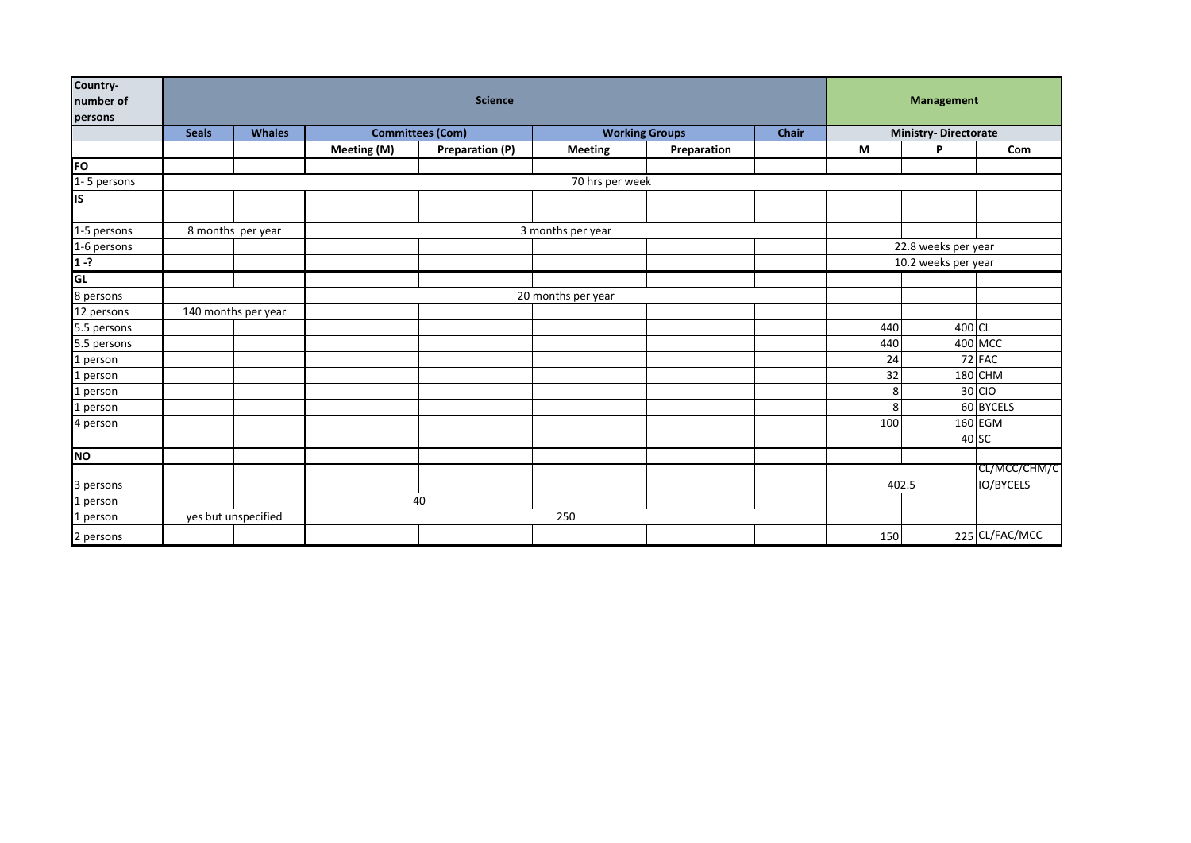| Country-<br>number of<br>persons | <b>Science</b>    |                     |                         |                 |                       |             |       | <b>Management</b>           |        |                                  |
|----------------------------------|-------------------|---------------------|-------------------------|-----------------|-----------------------|-------------|-------|-----------------------------|--------|----------------------------------|
|                                  | <b>Seals</b>      | <b>Whales</b>       | <b>Committees (Com)</b> |                 | <b>Working Groups</b> |             | Chair | <b>Ministry-Directorate</b> |        |                                  |
|                                  |                   |                     | Meeting (M)             | Preparation (P) | <b>Meeting</b>        | Preparation |       | M                           | P      | Com                              |
| FO                               |                   |                     |                         |                 |                       |             |       |                             |        |                                  |
| $1 - 5$ persons                  | 70 hrs per week   |                     |                         |                 |                       |             |       |                             |        |                                  |
| <b>IS</b>                        |                   |                     |                         |                 |                       |             |       |                             |        |                                  |
|                                  |                   |                     |                         |                 |                       |             |       |                             |        |                                  |
| 1-5 persons                      | 8 months per year |                     | 3 months per year       |                 |                       |             |       |                             |        |                                  |
| 1-6 persons                      |                   |                     |                         |                 |                       |             |       | 22.8 weeks per year         |        |                                  |
| $1 - ?$                          |                   |                     |                         |                 |                       |             |       | 10.2 weeks per year         |        |                                  |
| GL                               |                   |                     |                         |                 |                       |             |       |                             |        |                                  |
| 8 persons                        |                   |                     | 20 months per year      |                 |                       |             |       |                             |        |                                  |
| 12 persons                       |                   | 140 months per year |                         |                 |                       |             |       |                             |        |                                  |
| 5.5 persons                      |                   |                     |                         |                 |                       |             |       | 440                         | 400 CL |                                  |
| 5.5 persons                      |                   |                     |                         |                 |                       |             |       | 440                         |        | 400 MCC                          |
| 1 person                         |                   |                     |                         |                 |                       |             |       | 24                          |        | 72 FAC                           |
| 1 person                         |                   |                     |                         |                 |                       |             |       | 32                          |        | 180 CHM                          |
| 1 person                         |                   |                     |                         |                 |                       |             |       | 8                           |        | 30 CIO                           |
| 1 person                         |                   |                     |                         |                 |                       |             |       | 8                           |        | 60 BYCELS                        |
| 4 person                         |                   |                     |                         |                 |                       |             |       | 100                         |        | 160 EGM                          |
|                                  |                   |                     |                         |                 |                       |             |       |                             |        | 40 SC                            |
| <b>NO</b>                        |                   |                     |                         |                 |                       |             |       |                             |        |                                  |
| 3 persons                        |                   |                     |                         |                 |                       |             |       | 402.5                       |        | CL/MCC/CHM/C<br><b>IO/BYCELS</b> |
| 1 person                         |                   |                     | 40                      |                 |                       |             |       |                             |        |                                  |
| 1 person                         |                   | yes but unspecified | 250                     |                 |                       |             |       |                             |        |                                  |
| 2 persons                        |                   |                     |                         |                 |                       |             |       | 150                         |        | 225 CL/FAC/MCC                   |